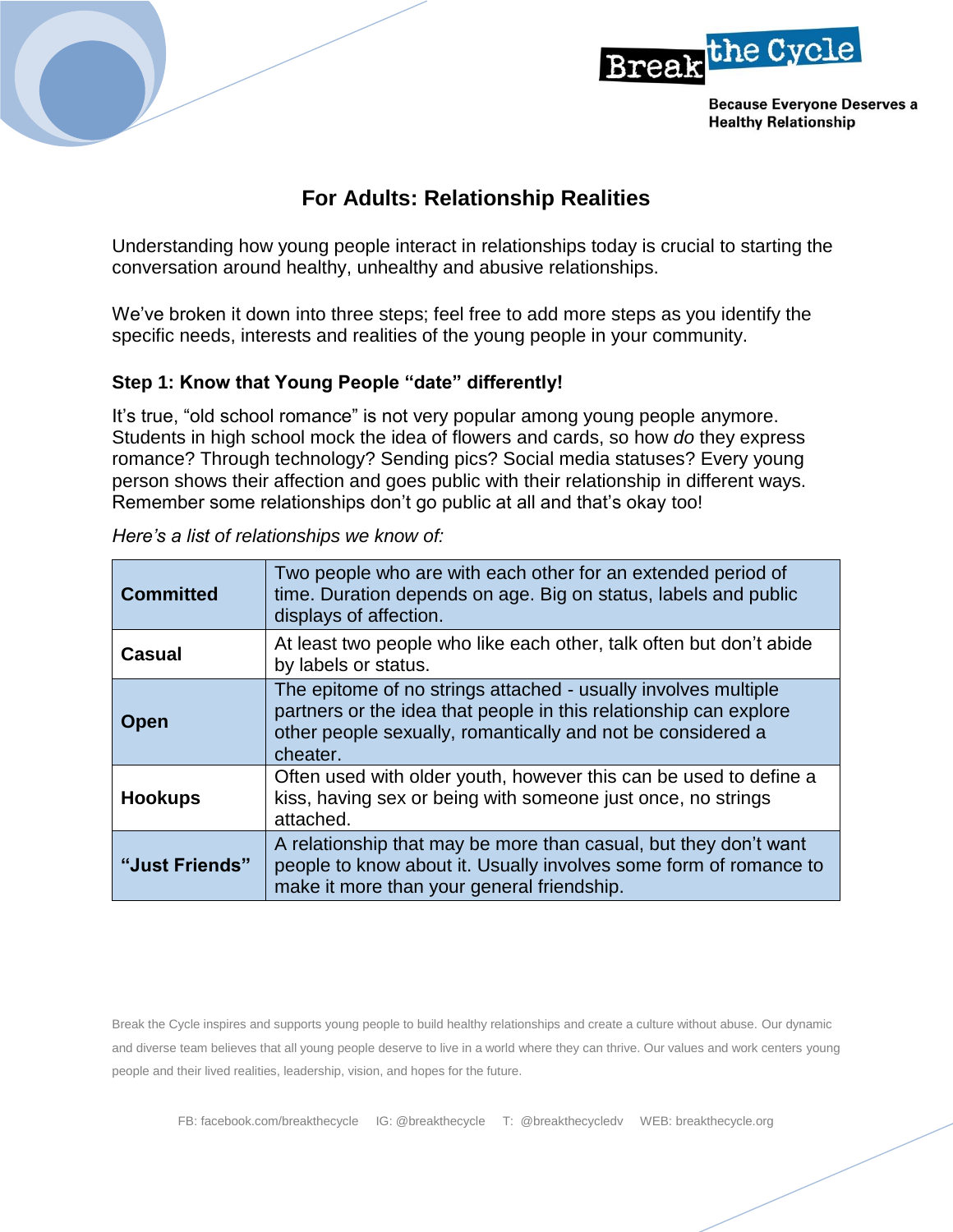



**Because Everyone Deserves a Healthy Relationship** 

## **For Adults: Relationship Realities**

Understanding how young people interact in relationships today is crucial to starting the conversation around healthy, unhealthy and abusive relationships.

We've broken it down into three steps; feel free to add more steps as you identify the specific needs, interests and realities of the young people in your community.

## **Step 1: Know that Young People "date" differently!**

It's true, "old school romance" is not very popular among young people anymore. Students in high school mock the idea of flowers and cards, so how *do* they express romance? Through technology? Sending pics? Social media statuses? Every young person shows their affection and goes public with their relationship in different ways. Remember some relationships don't go public at all and that's okay too!

| <b>Committed</b> | Two people who are with each other for an extended period of<br>time. Duration depends on age. Big on status, labels and public<br>displays of affection.                                                      |
|------------------|----------------------------------------------------------------------------------------------------------------------------------------------------------------------------------------------------------------|
| <b>Casual</b>    | At least two people who like each other, talk often but don't abide<br>by labels or status.                                                                                                                    |
| <b>Open</b>      | The epitome of no strings attached - usually involves multiple<br>partners or the idea that people in this relationship can explore<br>other people sexually, romantically and not be considered a<br>cheater. |
| <b>Hookups</b>   | Often used with older youth, however this can be used to define a<br>kiss, having sex or being with someone just once, no strings<br>attached.                                                                 |
| "Just Friends"   | A relationship that may be more than casual, but they don't want<br>people to know about it. Usually involves some form of romance to<br>make it more than your general friendship.                            |

*Here's a list of relationships we know of:* 

Break the Cycle inspires and supports young people to build healthy relationships and create a culture without abuse. Our dynamic and diverse team believes that all young people deserve to live in a world where they can thrive. Our values and work centers young people and their lived realities, leadership, vision, and hopes for the future.